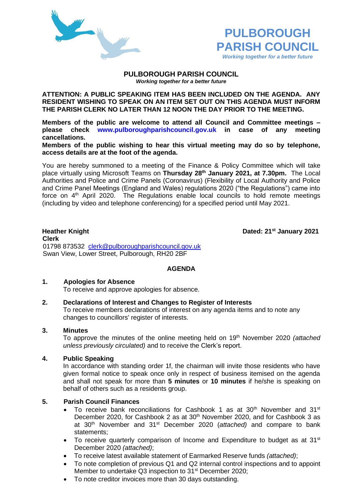



#### **PULBOROUGH PARISH COUNCIL** *Working together for a better future*

**ATTENTION: A PUBLIC SPEAKING ITEM HAS BEEN INCLUDED ON THE AGENDA. ANY RESIDENT WISHING TO SPEAK ON AN ITEM SET OUT ON THIS AGENDA MUST INFORM THE PARISH CLERK NO LATER THAN 12 NOON THE DAY PRIOR TO THE MEETING.**

**Members of the public are welcome to attend all Council and Committee meetings – please check [www.pulboroughparishcouncil.gov.uk](http://www.pulboroughparishcouncil.gov.uk/) in case of any meeting cancellations.** 

**Members of the public wishing to hear this virtual meeting may do so by telephone, access details are at the foot of the agenda.**

You are hereby summoned to a meeting of the Finance & Policy Committee which will take place virtually using Microsoft Teams on **Thursday 28th January 2021, at 7.30pm.** The Local Authorities and Police and Crime Panels (Coronavirus) (Flexibility of Local Authority and Police and Crime Panel Meetings (England and Wales) regulations 2020 ("the Regulations") came into force on 4<sup>th</sup> April 2020. The Regulations enable local councils to hold remote meetings (including by video and telephone conferencing) for a specified period until May 2021.

**Heather Knight Dated:** 21<sup>st</sup> January 2021

**Clerk** 01798 873532 [clerk@pulboroughparishcouncil.gov.uk](mailto:clerk@pulboroughparishcouncil.gov.uk) Swan View, Lower Street, Pulborough, RH20 2BF

## **AGENDA**

#### **1. Apologies for Absence**

To receive and approve apologies for absence.

## **2. Declarations of Interest and Changes to Register of Interests**

To receive members declarations of interest on any agenda items and to note any changes to councillors' register of interests.

## **3. Minutes**

To approve the minutes of the online meeting held on 19th November 2020 *(attached unless previously circulated)* and to receive the Clerk's report.

## **4. Public Speaking**

In accordance with standing order 1f, the chairman will invite those residents who have given formal notice to speak once only in respect of business itemised on the agenda and shall not speak for more than **5 minutes** or **10 minutes** if he/she is speaking on behalf of others such as a residents group.

## **5. Parish Council Finances**

- To receive bank reconciliations for Cashbook 1 as at 30<sup>th</sup> November and 31<sup>st</sup> December 2020, for Cashbook 2 as at 30<sup>th</sup> November 2020, and for Cashbook 3 as at 30th November and 31st December 2020 (*attached)* and compare to bank statements;
- To receive quarterly comparison of Income and Expenditure to budget as at  $31<sup>st</sup>$ December 2020 *(attached)*;
- To receive latest available statement of Earmarked Reserve funds *(attached)*;
- To note completion of previous Q1 and Q2 internal control inspections and to appoint Member to undertake Q3 inspection to 31<sup>st</sup> December 2020;
- To note creditor invoices more than 30 days outstanding.